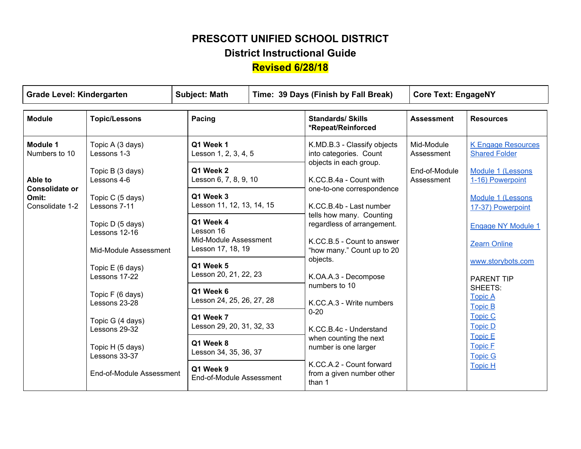## **PRESCOTT UNIFIED SCHOOL DISTRICT District Instructional Guide**

| <b>Grade Level: Kindergarten</b>                             |                                   | <b>Subject: Math</b>                            |  | Time: 39 Days (Finish by Fall Break)                                                                                                                                                                                                                                                                                                                                                                                                                             | <b>Core Text: EngageNY</b>                              |                                                    |
|--------------------------------------------------------------|-----------------------------------|-------------------------------------------------|--|------------------------------------------------------------------------------------------------------------------------------------------------------------------------------------------------------------------------------------------------------------------------------------------------------------------------------------------------------------------------------------------------------------------------------------------------------------------|---------------------------------------------------------|----------------------------------------------------|
| <b>Module</b>                                                | <b>Topic/Lessons</b>              | Pacing                                          |  | <b>Standards/ Skills</b><br>*Repeat/Reinforced                                                                                                                                                                                                                                                                                                                                                                                                                   | <b>Assessment</b>                                       | <b>Resources</b>                                   |
| <b>Module 1</b><br>Numbers to 10                             | Topic A (3 days)<br>Lessons 1-3   | Q1 Week 1<br>Lesson 1, 2, 3, 4, 5               |  | K.MD.B.3 - Classify objects<br>into categories. Count<br>objects in each group.<br>K.CC.B.4a - Count with<br>one-to-one correspondence<br>K.CC.B.4b - Last number<br>tells how many. Counting<br>regardless of arrangement.<br>K.CC.B.5 - Count to answer<br>"how many." Count up to 20<br>objects.<br>K.OA.A.3 - Decompose<br>numbers to 10<br>K.CC.A.3 - Write numbers<br>$0 - 20$<br>K.CC.B.4c - Understand<br>when counting the next<br>number is one larger | Mid-Module<br>Assessment<br>End-of-Module<br>Assessment | <b>K Engage Resources</b><br><b>Shared Folder</b>  |
| Able to<br><b>Consolidate or</b><br>Omit:<br>Consolidate 1-2 | Topic B (3 days)<br>Lessons 4-6   | Q1 Week 2<br>Lesson 6, 7, 8, 9, 10              |  |                                                                                                                                                                                                                                                                                                                                                                                                                                                                  |                                                         | Module 1 (Lessons<br>1-16) Powerpoint              |
|                                                              | Topic C (5 days)<br>Lessons 7-11  | Q1 Week 3<br>Lesson 11, 12, 13, 14, 15          |  |                                                                                                                                                                                                                                                                                                                                                                                                                                                                  |                                                         | Module 1 (Lessons<br>17-37) Powerpoint             |
|                                                              | Topic D (5 days)<br>Lessons 12-16 | Q1 Week 4<br>Lesson 16<br>Mid-Module Assessment |  |                                                                                                                                                                                                                                                                                                                                                                                                                                                                  |                                                         | <b>Engage NY Module 1</b>                          |
|                                                              | Mid-Module Assessment             | Lesson 17, 18, 19                               |  |                                                                                                                                                                                                                                                                                                                                                                                                                                                                  |                                                         | <b>Zearn Online</b>                                |
|                                                              | Topic E (6 days)<br>Lessons 17-22 | Q1 Week 5<br>Lesson 20, 21, 22, 23              |  |                                                                                                                                                                                                                                                                                                                                                                                                                                                                  |                                                         | www.storybots.com<br><b>PARENT TIP</b>             |
|                                                              | Topic F (6 days)<br>Lessons 23-28 | Q1 Week 6<br>Lesson 24, 25, 26, 27, 28          |  |                                                                                                                                                                                                                                                                                                                                                                                                                                                                  |                                                         | SHEETS:<br><b>Topic A</b><br><b>Topic B</b>        |
|                                                              | Topic G (4 days)<br>Lessons 29-32 | Q1 Week 7<br>Lesson 29, 20, 31, 32, 33          |  |                                                                                                                                                                                                                                                                                                                                                                                                                                                                  |                                                         | <b>Topic C</b><br><b>Topic D</b>                   |
|                                                              | Topic H (5 days)<br>Lessons 33-37 | Q1 Week 8<br>Lesson 34, 35, 36, 37              |  |                                                                                                                                                                                                                                                                                                                                                                                                                                                                  |                                                         | <b>Topic E</b><br><b>Topic F</b><br><b>Topic G</b> |
|                                                              | End-of-Module Assessment          | Q1 Week 9<br>End-of-Module Assessment           |  | K.CC.A.2 - Count forward<br>from a given number other<br>than 1                                                                                                                                                                                                                                                                                                                                                                                                  |                                                         | <b>Topic H</b>                                     |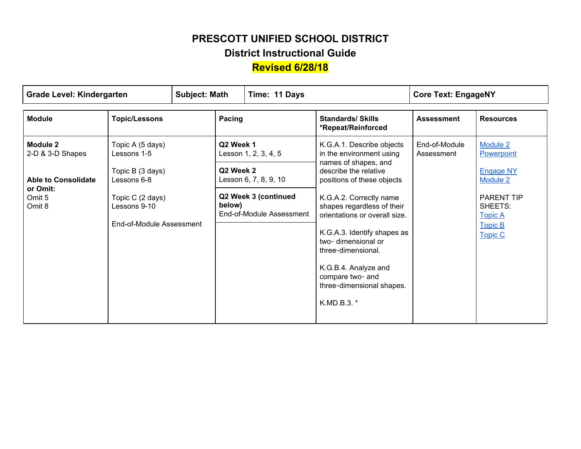### **District Instructional Guide**

| <b>Grade Level: Kindergarten</b>                                                           |                                                                                                                                    | <b>Subject: Math</b><br>Time: 11 Days |                                                                                                   |                                                                                                                                                                                                                                                                                                                                                                                                   | <b>Core Text: EngageNY</b>  |                                                                                                                                              |
|--------------------------------------------------------------------------------------------|------------------------------------------------------------------------------------------------------------------------------------|---------------------------------------|---------------------------------------------------------------------------------------------------|---------------------------------------------------------------------------------------------------------------------------------------------------------------------------------------------------------------------------------------------------------------------------------------------------------------------------------------------------------------------------------------------------|-----------------------------|----------------------------------------------------------------------------------------------------------------------------------------------|
| <b>Module</b>                                                                              | <b>Topic/Lessons</b>                                                                                                               | Pacing                                |                                                                                                   | <b>Standards/ Skills</b><br>*Repeat/Reinforced                                                                                                                                                                                                                                                                                                                                                    | <b>Assessment</b>           | <b>Resources</b>                                                                                                                             |
| Module 2<br>2-D & 3-D Shapes<br><b>Able to Consolidate</b><br>or Omit:<br>Omit 5<br>Omit 8 | Topic A (5 days)<br>Lessons 1-5<br>Topic B (3 days)<br>Lessons 6-8<br>Topic C (2 days)<br>Lessons 9-10<br>End-of-Module Assessment | Q2 Week 1<br>Q2 Week 2<br>below)      | Lesson 1, 2, 3, 4, 5<br>Lesson 6, 7, 8, 9, 10<br>Q2 Week 3 (continued<br>End-of-Module Assessment | K.G.A.1. Describe objects<br>in the environment using<br>names of shapes, and<br>describe the relative<br>positions of these objects<br>K.G.A.2. Correctly name<br>shapes regardless of their<br>orientations or overall size.<br>K.G.A.3. Identify shapes as<br>two-dimensional or<br>three-dimensional.<br>K.G.B.4. Analyze and<br>compare two- and<br>three-dimensional shapes.<br>K.MD.B.3. * | End-of-Module<br>Assessment | Module 2<br>Powerpoint<br><b>Engage NY</b><br>Module 2<br><b>PARENT TIP</b><br>SHEETS:<br><b>Topic A</b><br><b>Topic B</b><br><b>Topic C</b> |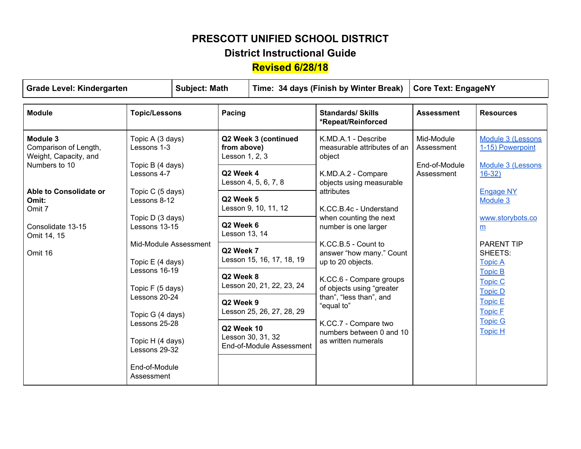#### **District Instructional Guide**

| <b>Grade Level: Kindergarten</b><br><b>Subject: Math</b>                                                                                          |                                                                        | Time: 34 days (Finish by Winter Break) |                                                       |                                               | <b>Core Text: EngageNY</b>                                                                                                                                                                                              |                                                    |                                                |
|---------------------------------------------------------------------------------------------------------------------------------------------------|------------------------------------------------------------------------|----------------------------------------|-------------------------------------------------------|-----------------------------------------------|-------------------------------------------------------------------------------------------------------------------------------------------------------------------------------------------------------------------------|----------------------------------------------------|------------------------------------------------|
| <b>Module</b>                                                                                                                                     | <b>Topic/Lessons</b>                                                   |                                        | Pacing                                                |                                               | <b>Standards/ Skills</b><br>*Repeat/Reinforced                                                                                                                                                                          | <b>Assessment</b>                                  | <b>Resources</b>                               |
| Module 3<br>Topic A (3 days)<br>Comparison of Length,<br>Lessons 1-3<br>Weight, Capacity, and<br>Numbers to 10<br>Topic B (4 days)<br>Lessons 4-7 |                                                                        |                                        | Q2 Week 3 (continued<br>from above)<br>Lesson 1, 2, 3 |                                               | K.MD.A.1 - Describe<br>measurable attributes of an<br>object                                                                                                                                                            | Mid-Module<br>Assessment                           | Module 3 (Lessons<br>1-15) Powerpoint          |
|                                                                                                                                                   |                                                                        |                                        | Q2 Week 4                                             | Lesson 4, 5, 6, 7, 8                          | K.MD.A.2 - Compare<br>objects using measurable                                                                                                                                                                          | End-of-Module<br>Assessment                        | Module 3 (Lessons<br>$16-32)$                  |
| Able to Consolidate or<br>Omit:<br>Omit 7                                                                                                         | Topic C (5 days)<br>Lessons 8-12<br>Topic D (3 days)<br>Lessons 13-15  |                                        | Q2 Week 5<br>Lesson 9, 10, 11, 12                     |                                               | attributes<br>K.CC.B.4c - Understand                                                                                                                                                                                    |                                                    | <b>Engage NY</b><br>Module 3                   |
| Consolidate 13-15<br>Omit 14, 15                                                                                                                  |                                                                        |                                        | Q <sub>2</sub> Week 6<br>Lesson 13, 14                |                                               | when counting the next<br>number is one larger<br>K.CC.B.5 - Count to<br>answer "how many." Count<br>up to 20 objects.<br>K.CC.6 - Compare groups<br>of objects using "greater<br>than", "less than", and<br>"equal to" |                                                    | www.storybots.co<br>m                          |
| Omit 16                                                                                                                                           | Mid-Module Assessment<br>Topic E (4 days)                              |                                        | Q2 Week 7                                             | Lesson 15, 16, 17, 18, 19                     |                                                                                                                                                                                                                         |                                                    | <b>PARENT TIP</b><br>SHEETS:<br><b>Topic A</b> |
|                                                                                                                                                   | Lessons 16-19<br>Topic F (5 days)<br>Lessons 20-24<br>Topic G (4 days) | Q2 Week 8                              | Lesson 20, 21, 22, 23, 24                             |                                               |                                                                                                                                                                                                                         | <b>Topic B</b><br><b>Topic C</b><br><b>Topic D</b> |                                                |
|                                                                                                                                                   |                                                                        | Q <sub>2</sub> Week 9                  | Lesson 25, 26, 27, 28, 29                             |                                               |                                                                                                                                                                                                                         | <b>Topic E</b><br><b>Topic F</b><br><b>Topic G</b> |                                                |
|                                                                                                                                                   | Lessons 25-28<br>Topic H (4 days)<br>Lessons 29-32                     |                                        | <b>Q2 Week 10</b>                                     | Lesson 30, 31, 32<br>End-of-Module Assessment | K.CC.7 - Compare two<br>numbers between 0 and 10<br>as written numerals                                                                                                                                                 |                                                    | <b>Topic H</b>                                 |
|                                                                                                                                                   | End-of-Module<br>Assessment                                            |                                        |                                                       |                                               |                                                                                                                                                                                                                         |                                                    |                                                |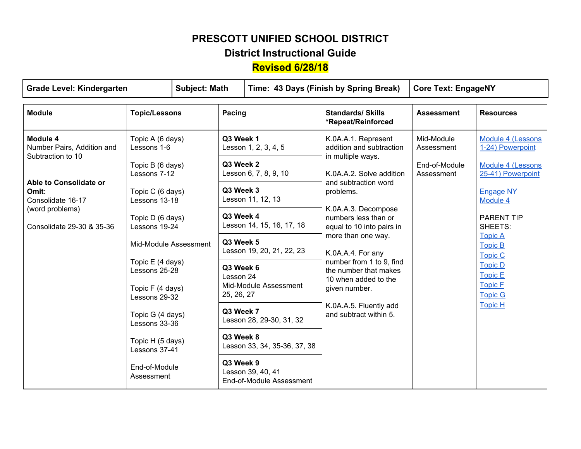#### **District Instructional Guide**

| <b>Grade Level: Kindergarten</b>                                                                                                   |                                                                                                                                                                                                          | <b>Subject: Math</b> |                                    |                                                                                              | Time: 43 Days (Finish by Spring Break)                                                                                                                                                                                                                                | <b>Core Text: EngageNY</b>  |                                                    |
|------------------------------------------------------------------------------------------------------------------------------------|----------------------------------------------------------------------------------------------------------------------------------------------------------------------------------------------------------|----------------------|------------------------------------|----------------------------------------------------------------------------------------------|-----------------------------------------------------------------------------------------------------------------------------------------------------------------------------------------------------------------------------------------------------------------------|-----------------------------|----------------------------------------------------|
| <b>Module</b>                                                                                                                      | <b>Topic/Lessons</b>                                                                                                                                                                                     |                      | Pacing                             |                                                                                              | <b>Standards/ Skills</b><br>*Repeat/Reinforced                                                                                                                                                                                                                        | <b>Assessment</b>           | <b>Resources</b>                                   |
| Module 4<br>Topic A (6 days)<br>Number Pairs, Addition and<br>Lessons 1-6<br>Subtraction to 10<br>Topic B (6 days)<br>Lessons 7-12 |                                                                                                                                                                                                          | Q3 Week 1            |                                    | K.0A.A.1. Represent<br>Lesson 1, 2, 3, 4, 5<br>addition and subtraction<br>in multiple ways. |                                                                                                                                                                                                                                                                       | Mid-Module<br>Assessment    | Module 4 (Lessons<br>1-24) Powerpoint              |
|                                                                                                                                    |                                                                                                                                                                                                          |                      | Q3 Week 2<br>Lesson 6, 7, 8, 9, 10 |                                                                                              | K.0A.A.2. Solve addition<br>and subtraction word<br>problems.                                                                                                                                                                                                         | End-of-Module<br>Assessment | Module 4 (Lessons<br>25-41) Powerpoint             |
| Omit:<br>Consolidate 16-17                                                                                                         | Able to Consolidate or<br>Topic C (6 days)<br>Lessons 13-18                                                                                                                                              |                      | Q3 Week 3<br>Lesson 11, 12, 13     |                                                                                              |                                                                                                                                                                                                                                                                       |                             | <b>Engage NY</b><br>Module 4                       |
| (word problems)<br>Consolidate 29-30 & 35-36                                                                                       | Topic D (6 days)<br>Lessons 19-24                                                                                                                                                                        | Q3 Week 4            |                                    | Lesson 14, 15, 16, 17, 18                                                                    | K.0A.A.3. Decompose<br>numbers less than or<br>equal to 10 into pairs in<br>more than one way.<br>K.0A.A.4. For any<br>number from 1 to 9, find<br>the number that makes<br>10 when added to the<br>given number.<br>K.0A.A.5. Fluently add<br>and subtract within 5. |                             | <b>PARENT TIP</b><br>SHEETS:                       |
|                                                                                                                                    | Mid-Module Assessment<br>Topic E (4 days)<br>Lessons 25-28<br>Topic F (4 days)<br>Lessons 29-32<br>Topic G (4 days)<br>Lessons 33-36<br>Topic H (5 days)<br>Lessons 37-41<br>End-of-Module<br>Assessment |                      | Q3 Week 5                          | Lesson 19, 20, 21, 22, 23                                                                    |                                                                                                                                                                                                                                                                       |                             | <b>Topic A</b><br><b>Topic B</b><br><b>Topic C</b> |
|                                                                                                                                    |                                                                                                                                                                                                          |                      |                                    | Q3 Week 6<br>Lesson 24<br>Mid-Module Assessment<br>25, 26, 27                                |                                                                                                                                                                                                                                                                       |                             | <b>Topic D</b><br><b>Topic E</b><br><b>Topic F</b> |
|                                                                                                                                    |                                                                                                                                                                                                          |                      |                                    |                                                                                              |                                                                                                                                                                                                                                                                       |                             | <b>Topic G</b><br><b>Topic H</b>                   |
|                                                                                                                                    |                                                                                                                                                                                                          |                      | Q3 Week 7                          | Lesson 28, 29-30, 31, 32                                                                     |                                                                                                                                                                                                                                                                       |                             |                                                    |
|                                                                                                                                    |                                                                                                                                                                                                          |                      | Q3 Week 8                          | Lesson 33, 34, 35-36, 37, 38                                                                 |                                                                                                                                                                                                                                                                       |                             |                                                    |
|                                                                                                                                    |                                                                                                                                                                                                          |                      | Q3 Week 9                          | Lesson 39, 40, 41<br>End-of-Module Assessment                                                |                                                                                                                                                                                                                                                                       |                             |                                                    |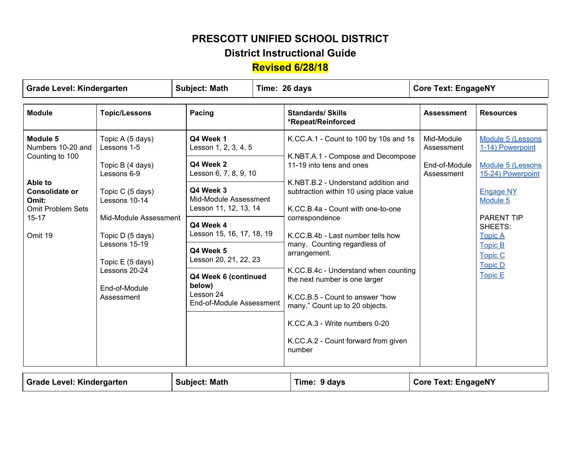#### **District Instructional Guide**

| <b>Grade Level: Kindergarten</b>                                                              |                                                                                                                                                        | <b>Subject: Math</b>                                                    |  | Time: 26 days                                                                                                                                                                                                                                                                                                                                                                                                                         | <b>Core Text: EngageNY</b>                              |                                                                                                                                                        |
|-----------------------------------------------------------------------------------------------|--------------------------------------------------------------------------------------------------------------------------------------------------------|-------------------------------------------------------------------------|--|---------------------------------------------------------------------------------------------------------------------------------------------------------------------------------------------------------------------------------------------------------------------------------------------------------------------------------------------------------------------------------------------------------------------------------------|---------------------------------------------------------|--------------------------------------------------------------------------------------------------------------------------------------------------------|
| <b>Module</b>                                                                                 | <b>Topic/Lessons</b>                                                                                                                                   | Pacing                                                                  |  | <b>Standards/ Skills</b><br>*Repeat/Reinforced                                                                                                                                                                                                                                                                                                                                                                                        | <b>Assessment</b>                                       | <b>Resources</b>                                                                                                                                       |
| Module 5<br>Numbers 10-20 and<br>Counting to 100                                              | Topic A (5 days)<br>Lessons 1-5                                                                                                                        | Q4 Week 1<br>Lesson 1, 2, 3, 4, 5                                       |  | K.CC.A.1 - Count to 100 by 10s and 1s<br>K.NBT.A.1 - Compose and Decompose                                                                                                                                                                                                                                                                                                                                                            | Mid-Module<br>Assessment<br>End-of-Module<br>Assessment | Module 5 (Lessons<br>1-14) Powerpoint                                                                                                                  |
| Able to<br><b>Consolidate or</b><br>Omit:<br><b>Omit Problem Sets</b><br>$15 - 17$<br>Omit 19 | Topic B (4 days)<br>Lessons 6-9<br>Topic C (5 days)<br>Lessons 10-14<br>Mid-Module Assessment<br>Topic D (5 days)<br>Lessons 15-19<br>Topic E (5 days) | Q4 Week 2<br>Lesson 6, 7, 8, 9, 10                                      |  | 11-19 into tens and ones<br>K.NBT.B.2 - Understand addition and<br>subtraction within 10 using place value<br>K.CC.B.4a - Count with one-to-one<br>correspondence<br>K.CC.B.4b - Last number tells how<br>many. Counting regardless of<br>arrangement.<br>K.CC.B.4c - Understand when counting<br>the next number is one larger<br>K.CC.B.5 - Count to answer "how<br>many." Count up to 20 objects.<br>K.CC.A.3 - Write numbers 0-20 |                                                         | Module 5 (Lessons<br>15-24) Powerpoint                                                                                                                 |
|                                                                                               |                                                                                                                                                        | Q4 Week 3<br>Mid-Module Assessment<br>Lesson 11, 12, 13, 14             |  |                                                                                                                                                                                                                                                                                                                                                                                                                                       |                                                         | <b>Engage NY</b><br>Module 5<br><b>PARENT TIP</b><br>SHEETS:<br><b>Topic A</b><br><b>Topic B</b><br><b>Topic C</b><br><b>Topic D</b><br><b>Topic E</b> |
|                                                                                               |                                                                                                                                                        | Q4 Week 4<br>Lesson 15, 16, 17, 18, 19                                  |  |                                                                                                                                                                                                                                                                                                                                                                                                                                       |                                                         |                                                                                                                                                        |
|                                                                                               |                                                                                                                                                        | Q4 Week 5<br>Lesson 20, 21, 22, 23                                      |  |                                                                                                                                                                                                                                                                                                                                                                                                                                       |                                                         |                                                                                                                                                        |
|                                                                                               | Lessons 20-24<br>End-of-Module<br>Assessment                                                                                                           | Q4 Week 6 (continued<br>below)<br>Lesson 24<br>End-of-Module Assessment |  |                                                                                                                                                                                                                                                                                                                                                                                                                                       |                                                         |                                                                                                                                                        |
|                                                                                               |                                                                                                                                                        |                                                                         |  | K.CC.A.2 - Count forward from given<br>number                                                                                                                                                                                                                                                                                                                                                                                         |                                                         |                                                                                                                                                        |

| <sup>∣</sup> Grade Level: Kindergarten<br><b>Subject: Math</b><br>Time: 9 days | <b>Core Text: EngageNY</b> |
|--------------------------------------------------------------------------------|----------------------------|
|--------------------------------------------------------------------------------|----------------------------|